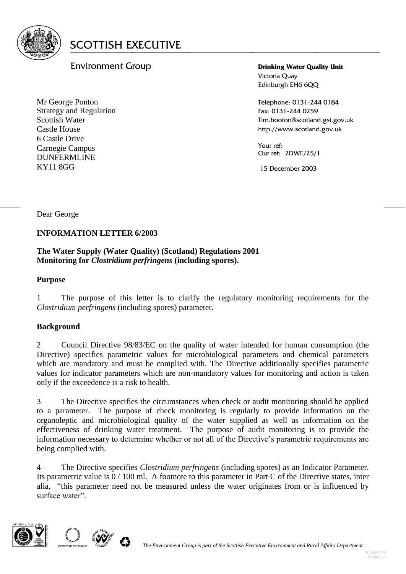

# Environment Group

Mr George Ponton Strategy and Regulation Scottish Water Castle House 6 Castle Drive Carnegie Campus DUNFERMLINE KY11 8GG

**Drinking Water Quality Unit** Victoria Quay Edinburgh EH6 6QQ

Telephone: 0131-244 0184 Fax: 0131-244 0259 Tim.hooton@scotland.gsi.gov.uk http://www.scotland.gov.uk

Your ref: Our ref: 2DWE/25/1

15 December 2003

Dear George

### **INFORMATION LETTER 6/2003**

### **The Water Supply (Water Quality) (Scotland) Regulations 2001 Monitoring for** *Clostridium perfringens* **(including spores).**

### **Purpose**

1 The purpose of this letter is to clarify the regulatory monitoring requirements for the *Clostridium perfringens* (including spores) parameter.

 $\frac{1}{2}$  , the contribution of the contribution of the contribution of the contribution of the contribution of the contribution of the contribution of the contribution of the contribution of the contribution of the contr

### **Background**

2 Council Directive 98/83/EC on the quality of water intended for human consumption (the Directive) specifies parametric values for microbiological parameters and chemical parameters which are mandatory and must be complied with. The Directive additionally specifies parametric values for indicator parameters which are non-mandatory values for monitoring and action is taken only if the exceedence is a risk to health.

3 The Directive specifies the circumstances when check or audit monitoring should be applied to a parameter. The purpose of check monitoring is regularly to provide information on the organoleptic and microbiological quality of the water supplied as well as information on the effectiveness of drinking water treatment. The purpose of audit monitoring is to provide the information necessary to determine whether or not all of the Directive's parametric requirements are being complied with.

4 The Directive specifies *Clostridium perfringens* (including spores) as an Indicator Parameter. Its parametric value is  $0/100$  ml. A footnote to this parameter in Part C of the Directive states, inter alia, "this parameter need not be measured unless the water originates from or is influenced by surface water".



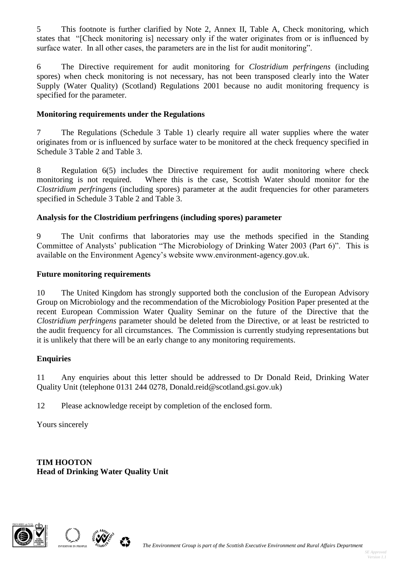5 This footnote is further clarified by Note 2, Annex II, Table A, Check monitoring, which states that "[Check monitoring is] necessary only if the water originates from or is influenced by surface water. In all other cases, the parameters are in the list for audit monitoring".

6 The Directive requirement for audit monitoring for *Clostridium perfringens* (including spores) when check monitoring is not necessary, has not been transposed clearly into the Water Supply (Water Quality) (Scotland) Regulations 2001 because no audit monitoring frequency is specified for the parameter.

# **Monitoring requirements under the Regulations**

7 The Regulations (Schedule 3 Table 1) clearly require all water supplies where the water originates from or is influenced by surface water to be monitored at the check frequency specified in Schedule 3 Table 2 and Table 3.

8 Regulation 6(5) includes the Directive requirement for audit monitoring where check monitoring is not required. Where this is the case, Scottish Water should monitor for the *Clostridium perfringens* (including spores) parameter at the audit frequencies for other parameters specified in Schedule 3 Table 2 and Table 3.

# **Analysis for the Clostridium perfringens (including spores) parameter**

9 The Unit confirms that laboratories may use the methods specified in the Standing Committee of Analysts' publication "The Microbiology of Drinking Water 2003 (Part 6)". This is available on the Environment Agency's website www.environment-agency.gov.uk.

### **Future monitoring requirements**

10 The United Kingdom has strongly supported both the conclusion of the European Advisory Group on Microbiology and the recommendation of the Microbiology Position Paper presented at the recent European Commission Water Quality Seminar on the future of the Directive that the *Clostridium perfringens* parameter should be deleted from the Directive, or at least be restricted to the audit frequency for all circumstances. The Commission is currently studying representations but it is unlikely that there will be an early change to any monitoring requirements.

### **Enquiries**

11 Any enquiries about this letter should be addressed to Dr Donald Reid, Drinking Water Quality Unit (telephone 0131 244 0278, Donald.reid@scotland.gsi.gov.uk)

12 Please acknowledge receipt by completion of the enclosed form.

Yours sincerely

**TIM HOOTON Head of Drinking Water Quality Unit**